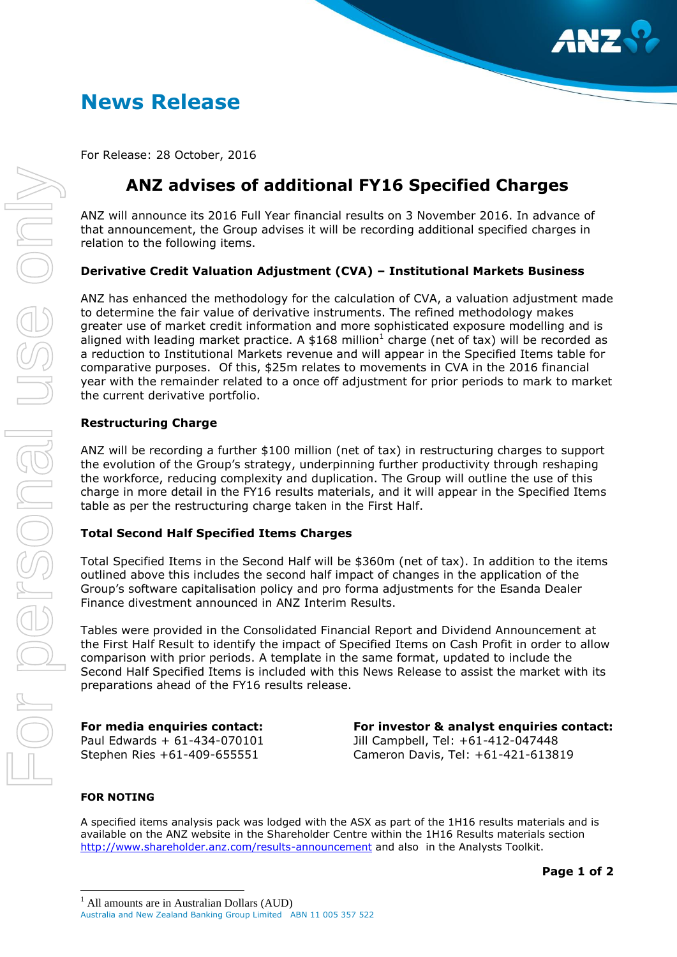

# **News Release**

For Release: 28 October, 2016

## **ANZ advises of additional FY16 Specified Charges**

ANZ will announce its 2016 Full Year financial results on 3 November 2016. In advance of that announcement, the Group advises it will be recording additional specified charges in relation to the following items.

### **Derivative Credit Valuation Adjustment (CVA) – Institutional Markets Business**

ANZ has enhanced the methodology for the calculation of CVA, a valuation adjustment made to determine the fair value of derivative instruments. The refined methodology makes greater use of market credit information and more sophisticated exposure modelling and is aligned with leading market practice. A \$168 million<sup>1</sup> charge (net of tax) will be recorded as a reduction to Institutional Markets revenue and will appear in the Specified Items table for comparative purposes. Of this, \$25m relates to movements in CVA in the 2016 financial year with the remainder related to a once off adjustment for prior periods to mark to market the current derivative portfolio.

#### **Restructuring Charge**

ANZ will be recording a further \$100 million (net of tax) in restructuring charges to support the evolution of the Group's strategy, underpinning further productivity through reshaping the workforce, reducing complexity and duplication. The Group will outline the use of this charge in more detail in the FY16 results materials, and it will appear in the Specified Items table as per the restructuring charge taken in the First Half.

### **Total Second Half Specified Items Charges**

Total Specified Items in the Second Half will be \$360m (net of tax). In addition to the items outlined above this includes the second half impact of changes in the application of the Group's software capitalisation policy and pro forma adjustments for the Esanda Dealer Finance divestment announced in ANZ Interim Results.

Tables were provided in the Consolidated Financial Report and Dividend Announcement at the First Half Result to identify the impact of Specified Items on Cash Profit in order to allow comparison with prior periods. A template in the same format, updated to include the Second Half Specified Items is included with this News Release to assist the market with its preparations ahead of the FY16 results release.

**For media enquiries contact:** Paul Edwards + 61-434-070101 Stephen Ries +61-409-655551

**For investor & analyst enquiries contact:** Jill Campbell, Tel: +61-412-047448 Cameron Davis, Tel: +61-421-613819

#### **FOR NOTING**

 $\overline{a}$ 

A specified items analysis pack was lodged with the ASX as part of the 1H16 results materials and is available on the ANZ website in the Shareholder Centre within the 1H16 Results materials section <http://www.shareholder.anz.com/results-announcement> and also in the Analysts Toolkit.

<sup>1</sup> All amounts are in Australian Dollars (AUD)

Australia and New Zealand Banking Group Limited ABN 11 005 357 522